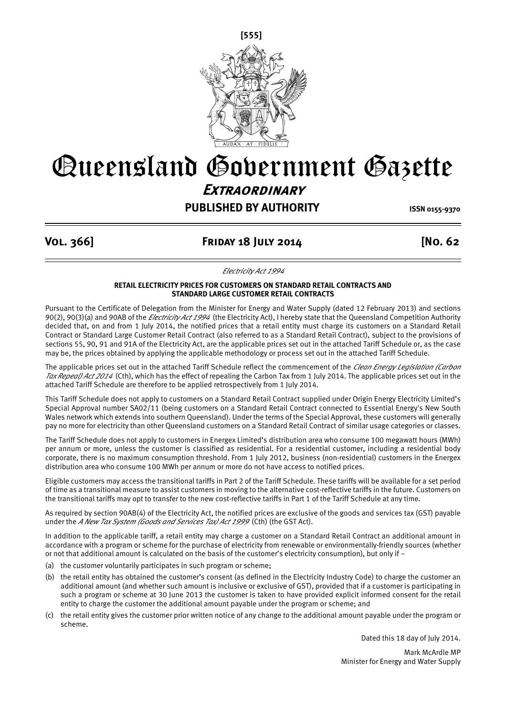

# Queensland Government Gazette **Extraordinary**

## **PUBLISHED BY AUTHORITY ISSN 0155-9370**

### **Vol. 366] Friday 18 July 2014 [No. 62**

*Electricity Act 1994*

#### **RETAIL ELECTRICITY PRICES FOR CUSTOMERS ON STANDARD RETAIL CONTRACTS AND STANDARD LARGE CUSTOMER RETAIL CONTRACTS**

Pursuant to the Certificate of Delegation from the Minister for Energy and Water Supply (dated 12 February 2013) and sections 90(2), 90(3)(a) and 90AB of the *Electricity Act 1994* (the Electricity Act), I hereby state that the Queensland Competition Authority decided that, on and from 1 July 2014, the notified prices that a retail entity must charge its customers on a Standard Retail Contract or Standard Large Customer Retail Contract (also referred to as a Standard Retail Contract), subject to the provisions of sections 55, 90, 91 and 91A of the Electricity Act, are the applicable prices set out in the attached Tariff Schedule or, as the case may be, the prices obtained by applying the applicable methodology or process set out in the attached Tariff Schedule.

The applicable prices set out in the attached Tariff Schedule reflect the commencement of the *Clean Energy Legislation (Carbon Tax Repeal) Act 2014* (Cth), which has the effect of repealing the Carbon Tax from 1 July 2014. The applicable prices set out in the attached Tariff Schedule are therefore to be applied retrospectively from 1 July 2014.

This Tariff Schedule does not apply to customers on a Standard Retail Contract supplied under Origin Energy Electricity Limited's Special Approval number SA02/11 (being customers on a Standard Retail Contract connected to Essential Energy's New South Wales network which extends into southern Queensland). Under the terms of the Special Approval, these customers will generally pay no more for electricity than other Queensland customers on a Standard Retail Contract of similar usage categories or classes.

The Tariff Schedule does not apply to customers in Energex Limited's distribution area who consume 100 megawatt hours (MWh) per annum or more, unless the customer is classified as residential. For a residential customer, including a residential body corporate, there is no maximum consumption threshold. From 1 July 2012, business (non-residential) customers in the Energex distribution area who consume 100 MWh per annum or more do not have access to notified prices.

Eligible customers may access the transitional tariffs in Part 2 of the Tariff Schedule. These tariffs will be available for a set period of time as a transitional measure to assist customers in moving to the alternative cost-reflective tariffs in the future. Customers on the transitional tariffs may opt to transfer to the new cost-reflective tariffs in Part 1 of the Tariff Schedule at any time.

As required by section 90AB(4) of the Electricity Act, the notified prices are exclusive of the goods and services tax (GST) payable under the *A New Tax System (Goods and Services Tax) Act 1999* (Cth) (the GST Act).

In addition to the applicable tariff, a retail entity may charge a customer on a Standard Retail Contract an additional amount in accordance with a program or scheme for the purchase of electricity from renewable or environmentally-friendly sources (whether or not that additional amount is calculated on the basis of the customer's electricity consumption), but only if –

- (a) the customer voluntarily participates in such program or scheme;
- (b) the retail entity has obtained the customer's consent (as defined in the Electricity Industry Code) to charge the customer an additional amount (and whether such amount is inclusive or exclusive of GST), provided that if a customer is participating in such a program or scheme at 30 June 2013 the customer is taken to have provided explicit informed consent for the retail entity to charge the customer the additional amount payable under the program or scheme; and
- (c) the retail entity gives the customer prior written notice of any change to the additional amount payable under the program or scheme.

Dated this 18 day of July 2014.

Mark McArdle MP Minister for Energy and Water Supply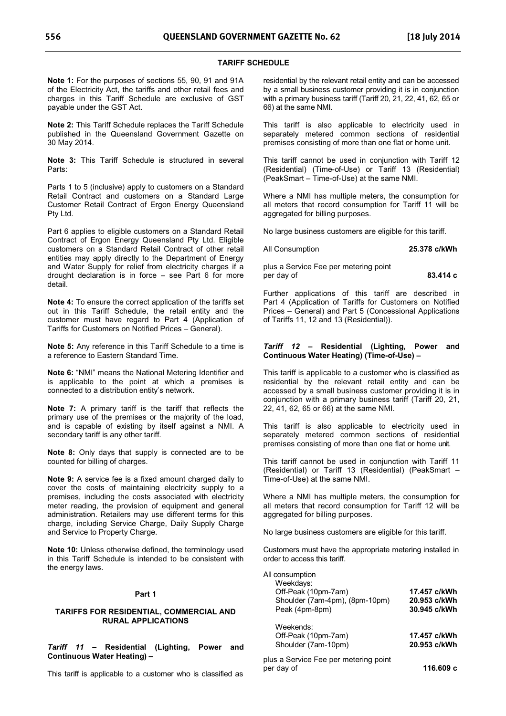#### **TARIFF SCHEDULE**

**Note 1:** For the purposes of sections 55, 90, 91 and 91A of the Electricity Act, the tariffs and other retail fees and charges in this Tariff Schedule are exclusive of GST payable under the GST Act.

**Note 2:** This Tariff Schedule replaces the Tariff Schedule published in the Queensland Government Gazette on 30 May 2014.

**Note 3:** This Tariff Schedule is structured in several Parts:

Parts 1 to 5 (inclusive) apply to customers on a Standard Retail Contract and customers on a Standard Large Customer Retail Contract of Ergon Energy Queensland Pty Ltd.

Part 6 applies to eligible customers on a Standard Retail Contract of Ergon Energy Queensland Pty Ltd. Eligible customers on a Standard Retail Contract of other retail entities may apply directly to the Department of Energy and Water Supply for relief from electricity charges if a drought declaration is in force – see Part 6 for more detail.

**Note 4:** To ensure the correct application of the tariffs set out in this Tariff Schedule, the retail entity and the customer must have regard to Part 4 (Application of Tariffs for Customers on Notified Prices – General).

**Note 5:** Any reference in this Tariff Schedule to a time is a reference to Eastern Standard Time.

**Note 6:** "NMI" means the National Metering Identifier and is applicable to the point at which a premises is connected to a distribution entity's network.

**Note 7:** A primary tariff is the tariff that reflects the primary use of the premises or the majority of the load, and is capable of existing by itself against a NMI. A secondary tariff is any other tariff.

**Note 8:** Only days that supply is connected are to be counted for billing of charges.

**Note 9:** A service fee is a fixed amount charged daily to cover the costs of maintaining electricity supply to a premises, including the costs associated with electricity meter reading, the provision of equipment and general administration. Retailers may use different terms for this charge, including Service Charge, Daily Supply Charge and Service to Property Charge.

**Note 10:** Unless otherwise defined, the terminology used in this Tariff Schedule is intended to be consistent with the energy laws.

#### **Part 1**

#### **TARIFFS FOR RESIDENTIAL, COMMERCIAL AND RURAL APPLICATIONS**

*Tariff 11* **– Residential (Lighting, Power and Continuous Water Heating) –** 

This tariff is applicable to a customer who is classified as

residential by the relevant retail entity and can be accessed by a small business customer providing it is in conjunction with a primary business tariff (Tariff 20, 21, 22, 41, 62, 65 or 66) at the same NMI.

This tariff is also applicable to electricity used in separately metered common sections of residential premises consisting of more than one flat or home unit.

This tariff cannot be used in conjunction with Tariff 12 (Residential) (Time-of-Use) or Tariff 13 (Residential) (PeakSmart – Time-of-Use) at the same NMI.

Where a NMI has multiple meters, the consumption for all meters that record consumption for Tariff 11 will be aggregated for billing purposes.

No large business customers are eligible for this tariff.

All Consumption **25.378 c/kWh**  plus a Service Fee per metering point

per day of **83.414 c** Further applications of this tariff are described in Part 4 (Application of Tariffs for Customers on Notified Prices – General) and Part 5 (Concessional Applications

of Tariffs 11, 12 and 13 (Residential)).

#### *Tariff 12* **– Residential (Lighting, Power and Continuous Water Heating) (Time-of-Use) –**

This tariff is applicable to a customer who is classified as residential by the relevant retail entity and can be accessed by a small business customer providing it is in conjunction with a primary business tariff (Tariff 20, 21, 22, 41, 62, 65 or 66) at the same NMI.

This tariff is also applicable to electricity used in separately metered common sections of residential premises consisting of more than one flat or home unit.

This tariff cannot be used in conjunction with Tariff 11 (Residential) or Tariff 13 (Residential) (PeakSmart – Time-of-Use) at the same NMI.

Where a NMI has multiple meters, the consumption for all meters that record consumption for Tariff 12 will be aggregated for billing purposes.

No large business customers are eligible for this tariff.

Customers must have the appropriate metering installed in order to access this tariff.

| All consumption |  |
|-----------------|--|
|-----------------|--|

| Weekdays:                             |              |
|---------------------------------------|--------------|
| Off-Peak (10pm-7am)                   | 17.457 c/kWh |
| Shoulder (7am-4pm), (8pm-10pm)        | 20.953 c/kWh |
| Peak (4pm-8pm)                        | 30.945 c/kWh |
| Weekends:                             |              |
| Off-Peak (10pm-7am)                   | 17.457 c/kWh |
| Shoulder (7am-10pm)                   | 20.953 c/kWh |
| plus a Service Fee per metering point |              |
| per day of                            | 116.609 с    |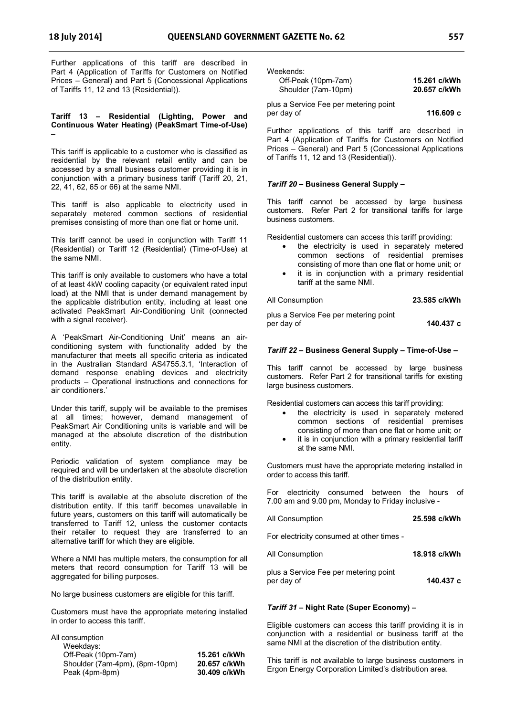Further applications of this tariff are described in Part 4 (Application of Tariffs for Customers on Notified Prices – General) and Part 5 (Concessional Applications of Tariffs 11, 12 and 13 (Residential)).

**Tariff 13 – Residential (Lighting, Power and Continuous Water Heating) (PeakSmart Time-of-Use) –** 

This tariff is applicable to a customer who is classified as residential by the relevant retail entity and can be accessed by a small business customer providing it is in conjunction with a primary business tariff (Tariff 20, 21, 22, 41, 62, 65 or 66) at the same NMI.

This tariff is also applicable to electricity used in separately metered common sections of residential premises consisting of more than one flat or home unit.

This tariff cannot be used in conjunction with Tariff 11 (Residential) or Tariff 12 (Residential) (Time-of-Use) at the same NMI.

This tariff is only available to customers who have a total of at least 4kW cooling capacity (or equivalent rated input load) at the NMI that is under demand management by the applicable distribution entity, including at least one activated PeakSmart Air-Conditioning Unit (connected with a signal receiver).

A 'PeakSmart Air-Conditioning Unit' means an airconditioning system with functionality added by the manufacturer that meets all specific criteria as indicated in the Australian Standard AS4755.3.1, 'Interaction of demand response enabling devices and electricity products – Operational instructions and connections for air conditioners.'

Under this tariff, supply will be available to the premises at all times; however, demand management of PeakSmart Air Conditioning units is variable and will be managed at the absolute discretion of the distribution entity.

Periodic validation of system compliance may be required and will be undertaken at the absolute discretion of the distribution entity.

This tariff is available at the absolute discretion of the distribution entity. If this tariff becomes unavailable in future years, customers on this tariff will automatically be transferred to Tariff 12, unless the customer contacts their retailer to request they are transferred to an alternative tariff for which they are eligible.

Where a NMI has multiple meters, the consumption for all meters that record consumption for Tariff 13 will be aggregated for billing purposes.

No large business customers are eligible for this tariff.

Customers must have the appropriate metering installed in order to access this tariff.

| All consumption                |              |
|--------------------------------|--------------|
| Weekdays:                      |              |
| Off-Peak (10pm-7am)            | 15.261 c/kWh |
| Shoulder (7am-4pm), (8pm-10pm) | 20.657 c/kWh |
| Peak (4pm-8pm)                 | 30.409 c/kWh |

Weekends:

| , , , , , , , , , , , , , |              |
|---------------------------|--------------|
| Off-Peak (10pm-7am)       | 15.261 c/kWh |
| Shoulder (7am-10pm)       | 20.657 c/kWh |

plus a Service Fee per metering point per day of **116.609 c**

Further applications of this tariff are described in Part 4 (Application of Tariffs for Customers on Notified Prices – General) and Part 5 (Concessional Applications of Tariffs 11, 12 and 13 (Residential)).

#### *Tariff 20* **– Business General Supply –**

This tariff cannot be accessed by large business customers. Refer Part 2 for transitional tariffs for large business customers.

Residential customers can access this tariff providing:

- the electricity is used in separately metered common sections of residential premises consisting of more than one flat or home unit; or
- it is in conjunction with a primary residential tariff at the same NMI.

All Consumption **23.585 c/kWh** 

plus a Service Fee per metering point per day of **140.437 c** 

#### *Tariff 22* **– Business General Supply – Time-of-Use –**

This tariff cannot be accessed by large business customers. Refer Part 2 for transitional tariffs for existing large business customers.

Residential customers can access this tariff providing:

- the electricity is used in separately metered common sections of residential premises consisting of more than one flat or home unit; or
- it is in conjunction with a primary residential tariff at the same NMI.

Customers must have the appropriate metering installed in order to access this tariff.

For electricity consumed between the hours of 7.00 am and 9.00 pm, Monday to Friday inclusive -

| All Consumption                           | 25.598 c/kWh |
|-------------------------------------------|--------------|
| For electricity consumed at other times - |              |

| All Consumption | 18.918 c/kWh |
|-----------------|--------------|
|                 |              |

| plus a Service Fee per metering point |           |
|---------------------------------------|-----------|
| per day of                            | 140.437 с |

#### *Tariff 31* **– Night Rate (Super Economy) –**

Eligible customers can access this tariff providing it is in conjunction with a residential or business tariff at the same NMI at the discretion of the distribution entity.

This tariff is not available to large business customers in Ergon Energy Corporation Limited's distribution area.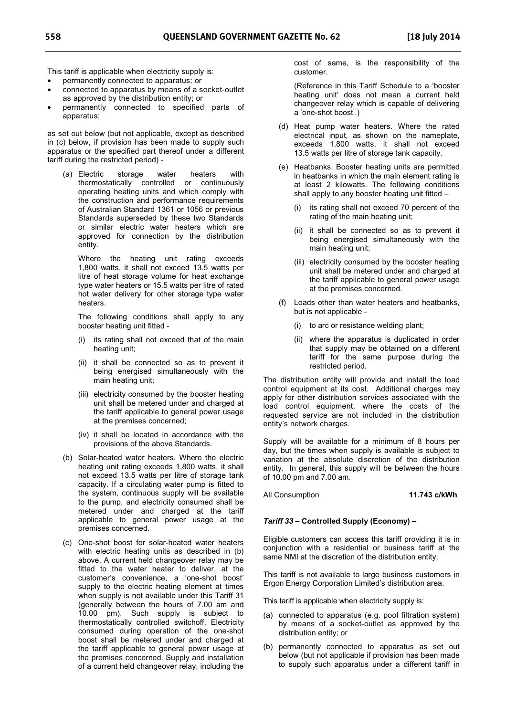This tariff is applicable when electricity supply is:

- permanently connected to apparatus; or
- connected to apparatus by means of a socket-outlet as approved by the distribution entity; or
- permanently connected to specified parts of apparatus;

as set out below (but not applicable, except as described in (c) below, if provision has been made to supply such apparatus or the specified part thereof under a different tariff during the restricted period) -

(a) Electric storage water heaters with thermostatically controlled or continuously operating heating units and which comply with the construction and performance requirements of Australian Standard 1361 or 1056 or previous Standards superseded by these two Standards or similar electric water heaters which are approved for connection by the distribution entity.

Where the heating unit rating exceeds 1,800 watts, it shall not exceed 13.5 watts per litre of heat storage volume for heat exchange type water heaters or 15.5 watts per litre of rated hot water delivery for other storage type water heaters.

The following conditions shall apply to any booster heating unit fitted -

- (i) its rating shall not exceed that of the main heating unit;
- (ii) it shall be connected so as to prevent it being energised simultaneously with the main heating unit;
- (iii) electricity consumed by the booster heating unit shall be metered under and charged at the tariff applicable to general power usage at the premises concerned;
- (iv) it shall be located in accordance with the provisions of the above Standards.
- (b) Solar-heated water heaters. Where the electric heating unit rating exceeds 1,800 watts, it shall not exceed 13.5 watts per litre of storage tank capacity. If a circulating water pump is fitted to the system, continuous supply will be available to the pump, and electricity consumed shall be metered under and charged at the tariff applicable to general power usage at the premises concerned.
- (c) One-shot boost for solar-heated water heaters with electric heating units as described in (b) above. A current held changeover relay may be fitted to the water heater to deliver, at the customer's convenience, a 'one-shot boost' supply to the electric heating element at times when supply is not available under this Tariff 31 (generally between the hours of 7.00 am and 10.00 pm). Such supply is subject to thermostatically controlled switchoff. Electricity consumed during operation of the one-shot boost shall be metered under and charged at the tariff applicable to general power usage at the premises concerned. Supply and installation of a current held changeover relay, including the

cost of same, is the responsibility of the customer.

(Reference in this Tariff Schedule to a 'booster heating unit' does not mean a current held changeover relay which is capable of delivering a 'one-shot boost'.)

- (d) Heat pump water heaters. Where the rated electrical input, as shown on the nameplate, exceeds 1,800 watts, it shall not exceed 13.5 watts per litre of storage tank capacity.
- (e) Heatbanks. Booster heating units are permitted in heatbanks in which the main element rating is at least 2 kilowatts. The following conditions shall apply to any booster heating unit fitted –
	- (i) its rating shall not exceed 70 percent of the rating of the main heating unit;
	- (ii) it shall be connected so as to prevent it being energised simultaneously with the main heating unit;
	- (iii) electricity consumed by the booster heating unit shall be metered under and charged at the tariff applicable to general power usage at the premises concerned.
- (f) Loads other than water heaters and heatbanks, but is not applicable -
	- (i) to arc or resistance welding plant;
	- (ii) where the apparatus is duplicated in order that supply may be obtained on a different tariff for the same purpose during the restricted period.

The distribution entity will provide and install the load control equipment at its cost. Additional charges may apply for other distribution services associated with the load control equipment, where the costs of the requested service are not included in the distribution entity's network charges.

Supply will be available for a minimum of 8 hours per day, but the times when supply is available is subject to variation at the absolute discretion of the distribution entity. In general, this supply will be between the hours of 10.00 pm and 7.00 am.

#### All Consumption **11.743 c/kWh**

#### *Tariff 33* **– Controlled Supply (Economy) –**

Eligible customers can access this tariff providing it is in conjunction with a residential or business tariff at the same NMI at the discretion of the distribution entity.

This tariff is not available to large business customers in Ergon Energy Corporation Limited's distribution area.

This tariff is applicable when electricity supply is:

- (a) connected to apparatus (e.g. pool filtration system) by means of a socket-outlet as approved by the distribution entity; or
- (b) permanently connected to apparatus as set out below (but not applicable if provision has been made to supply such apparatus under a different tariff in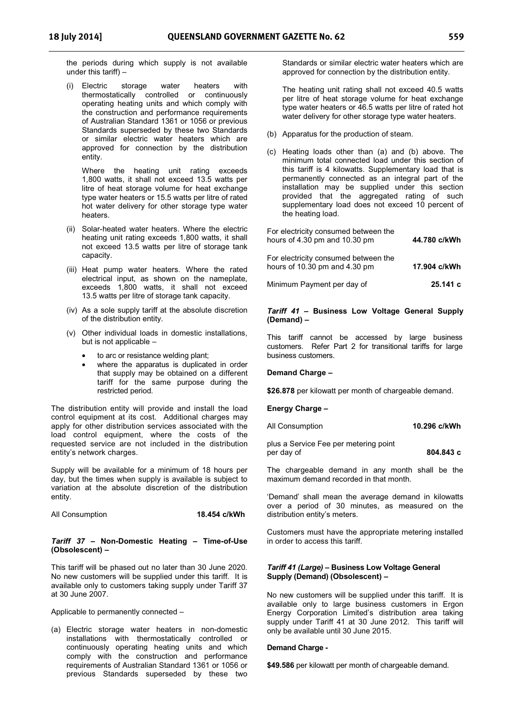the periods during which supply is not available under this tariff) –

(i) Electric storage water heaters with thermostatically controlled or continuously operating heating units and which comply with the construction and performance requirements of Australian Standard 1361 or 1056 or previous Standards superseded by these two Standards or similar electric water heaters which are approved for connection by the distribution entity.

Where the heating unit rating exceeds 1,800 watts, it shall not exceed 13.5 watts per litre of heat storage volume for heat exchange type water heaters or 15.5 watts per litre of rated hot water delivery for other storage type water heaters.

- (ii) Solar-heated water heaters. Where the electric heating unit rating exceeds 1,800 watts, it shall not exceed 13.5 watts per litre of storage tank capacity.
- (iii) Heat pump water heaters. Where the rated electrical input, as shown on the nameplate, exceeds 1,800 watts, it shall not exceed 13.5 watts per litre of storage tank capacity.
- (iv) As a sole supply tariff at the absolute discretion of the distribution entity.
- (v) Other individual loads in domestic installations, but is not applicable –
	- to arc or resistance welding plant;
	- where the apparatus is duplicated in order that supply may be obtained on a different tariff for the same purpose during the restricted period.

The distribution entity will provide and install the load control equipment at its cost. Additional charges may apply for other distribution services associated with the load control equipment, where the costs of the requested service are not included in the distribution entity's network charges.

Supply will be available for a minimum of 18 hours per day, but the times when supply is available is subject to variation at the absolute discretion of the distribution entity.

All Consumption **18.454 c/kWh** 

#### *Tariff 37* **– Non-Domestic Heating – Time-of-Use (Obsolescent) –**

This tariff will be phased out no later than 30 June 2020. No new customers will be supplied under this tariff. It is available only to customers taking supply under Tariff 37 at 30 June 2007.

Applicable to permanently connected –

(a) Electric storage water heaters in non-domestic installations with thermostatically controlled or continuously operating heating units and which comply with the construction and performance requirements of Australian Standard 1361 or 1056 or previous Standards superseded by these two

Standards or similar electric water heaters which are approved for connection by the distribution entity.

The heating unit rating shall not exceed 40.5 watts per litre of heat storage volume for heat exchange type water heaters or 46.5 watts per litre of rated hot water delivery for other storage type water heaters.

- (b) Apparatus for the production of steam.
- (c) Heating loads other than (a) and (b) above. The minimum total connected load under this section of this tariff is 4 kilowatts. Supplementary load that is permanently connected as an integral part of the installation may be supplied under this section provided that the aggregated rating of such supplementary load does not exceed 10 percent of the heating load.

| For electricity consumed between the<br>hours of 4.30 pm and 10.30 pm | 44.780 c/kWh |
|-----------------------------------------------------------------------|--------------|
| For electricity consumed between the<br>hours of 10.30 pm and 4.30 pm | 17.904 c/kWh |

Minimum Payment per day of **25.141 c** 

#### *Tariff 41* **– Business Low Voltage General Supply (Demand) –**

This tariff cannot be accessed by large business customers. Refer Part 2 for transitional tariffs for large business customers.

#### **Demand Charge –**

**\$26.878** per kilowatt per month of chargeable demand.

#### **Energy Charge –**

All Consumption **10.296 c/kWh** 

plus a Service Fee per metering point per day of **804.843 c** 

The chargeable demand in any month shall be the maximum demand recorded in that month.

'Demand' shall mean the average demand in kilowatts over a period of 30 minutes, as measured on the distribution entity's meters.

Customers must have the appropriate metering installed in order to access this tariff.

#### *Tariff 41 (Large) –* **Business Low Voltage General Supply (Demand) (Obsolescent) –**

No new customers will be supplied under this tariff. It is available only to large business customers in Ergon Energy Corporation Limited's distribution area taking supply under Tariff 41 at 30 June 2012. This tariff will only be available until 30 June 2015.

#### **Demand Charge -**

**\$49.586** per kilowatt per month of chargeable demand.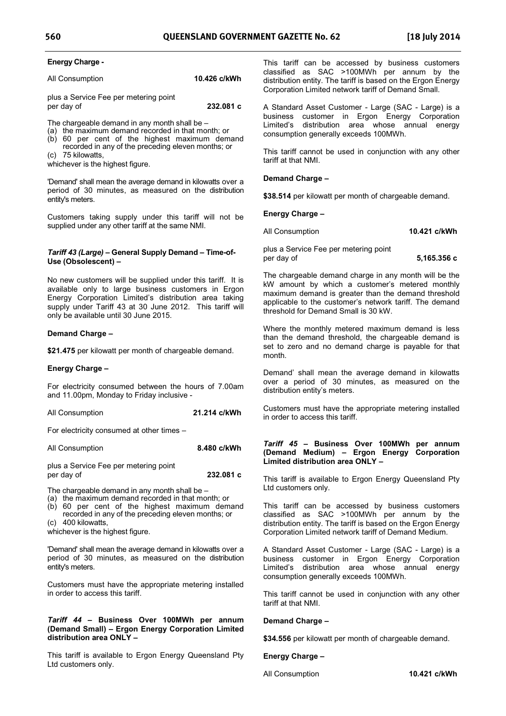#### **Energy Charge -**

All Consumption **10.426 c/kWh**

plus a Service Fee per metering point per day of **232.081 c** 

The chargeable demand in any month shall be –

- (a) the maximum demand recorded in that month; or
- (b) 60 per cent of the highest maximum demand recorded in any of the preceding eleven months; or
- (c) 75 kilowatts,

whichever is the highest figure.

'Demand' shall mean the average demand in kilowatts over a period of 30 minutes, as measured on the distribution entity's meters.

Customers taking supply under this tariff will not be supplied under any other tariff at the same NMI.

#### *Tariff 43 (Large) –* **General Supply Demand – Time-of-Use (Obsolescent) –**

No new customers will be supplied under this tariff. It is available only to large business customers in Ergon Energy Corporation Limited's distribution area taking supply under Tariff 43 at 30 June 2012. This tariff will only be available until 30 June 2015.

#### **Demand Charge –**

**\$21.475** per kilowatt per month of chargeable demand.

#### **Energy Charge –**

For electricity consumed between the hours of 7.00am and 11.00pm, Monday to Friday inclusive -

All Consumption **21.214 c/kWh** 

For electricity consumed at other times –

| All Consumption | 8.480 c/kWh |
|-----------------|-------------|
|-----------------|-------------|

plus a Service Fee per metering point per day of **232.081 c** 

The chargeable demand in any month shall be –

(a) the maximum demand recorded in that month; or

(b) 60 per cent of the highest maximum demand recorded in any of the preceding eleven months; or (c) 400 kilowatts,

whichever is the highest figure.

'Demand' shall mean the average demand in kilowatts over a period of 30 minutes, as measured on the distribution entity's meters.

Customers must have the appropriate metering installed in order to access this tariff.

#### *Tariff 44 –* **Business Over 100MWh per annum (Demand Small) – Ergon Energy Corporation Limited distribution area ONLY –**

This tariff is available to Ergon Energy Queensland Pty Ltd customers only.

This tariff can be accessed by business customers classified as SAC >100MWh per annum by the distribution entity. The tariff is based on the Ergon Energy Corporation Limited network tariff of Demand Small.

A Standard Asset Customer - Large (SAC - Large) is a business customer in Ergon Energy Corporation Limited's distribution area whose annual energy consumption generally exceeds 100MWh.

This tariff cannot be used in conjunction with any other tariff at that NMI.

#### **Demand Charge –**

**\$38.514** per kilowatt per month of chargeable demand.

**Energy Charge –** 

All Consumption **10.421 c/kWh** 

plus a Service Fee per metering point per day of **5,165.356 c** 

The chargeable demand charge in any month will be the kW amount by which a customer's metered monthly maximum demand is greater than the demand threshold applicable to the customer's network tariff. The demand threshold for Demand Small is 30 kW.

Where the monthly metered maximum demand is less than the demand threshold, the chargeable demand is set to zero and no demand charge is payable for that month.

Demand' shall mean the average demand in kilowatts over a period of 30 minutes, as measured on the distribution entity's meters.

Customers must have the appropriate metering installed in order to access this tariff.

#### *Tariff 45 –* **Business Over 100MWh per annum (Demand Medium) – Ergon Energy Corporation Limited distribution area ONLY –**

This tariff is available to Ergon Energy Queensland Pty Ltd customers only.

This tariff can be accessed by business customers classified as SAC >100MWh per annum by the distribution entity. The tariff is based on the Ergon Energy Corporation Limited network tariff of Demand Medium.

A Standard Asset Customer - Large (SAC - Large) is a business customer in Ergon Energy Corporation Limited's distribution area whose annual energy consumption generally exceeds 100MWh.

This tariff cannot be used in conjunction with any other tariff at that NMI.

#### **Demand Charge –**

**\$34.556** per kilowatt per month of chargeable demand.

**Energy Charge –** 

All Consumption **10.421 c/kWh**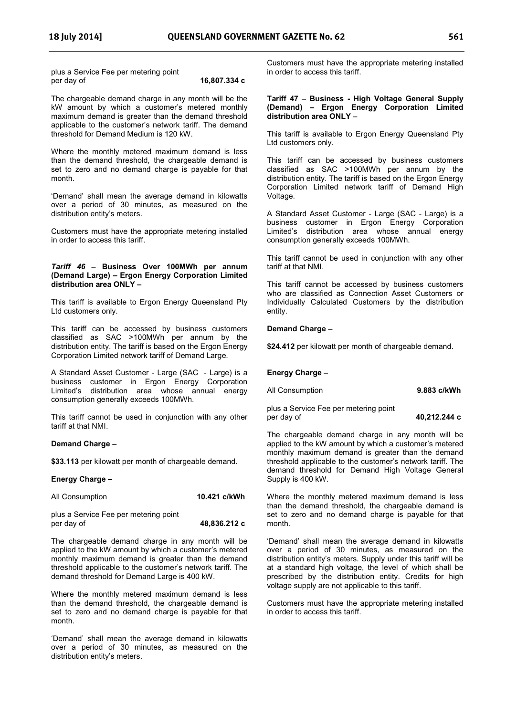plus a Service Fee per metering point per day of **16,807.334 c** 

The chargeable demand charge in any month will be the kW amount by which a customer's metered monthly maximum demand is greater than the demand threshold applicable to the customer's network tariff. The demand threshold for Demand Medium is 120 kW.

Where the monthly metered maximum demand is less than the demand threshold, the chargeable demand is set to zero and no demand charge is payable for that month.

'Demand' shall mean the average demand in kilowatts over a period of 30 minutes, as measured on the distribution entity's meters.

Customers must have the appropriate metering installed in order to access this tariff.

#### *Tariff 46 –* **Business Over 100MWh per annum (Demand Large) – Ergon Energy Corporation Limited distribution area ONLY –**

This tariff is available to Ergon Energy Queensland Pty Ltd customers only.

This tariff can be accessed by business customers classified as SAC >100MWh per annum by the distribution entity. The tariff is based on the Ergon Energy Corporation Limited network tariff of Demand Large.

A Standard Asset Customer - Large (SAC - Large) is a business customer in Ergon Energy Corporation Limited's distribution area whose annual energy consumption generally exceeds 100MWh.

This tariff cannot be used in conjunction with any other tariff at that NMI.

#### **Demand Charge –**

**\$33.113** per kilowatt per month of chargeable demand.

#### **Energy Charge –**

| All Consumption                       | 10.421 c/kWh |
|---------------------------------------|--------------|
| plus a Service Fee per metering point |              |
| per day of                            | 48,836.212 c |

The chargeable demand charge in any month will be applied to the kW amount by which a customer's metered monthly maximum demand is greater than the demand threshold applicable to the customer's network tariff. The demand threshold for Demand Large is 400 kW.

Where the monthly metered maximum demand is less than the demand threshold, the chargeable demand is set to zero and no demand charge is payable for that month.

'Demand' shall mean the average demand in kilowatts over a period of 30 minutes, as measured on the distribution entity's meters.

Customers must have the appropriate metering installed in order to access this tariff.

#### **Tariff 47 – Business - High Voltage General Supply (Demand) – Ergon Energy Corporation Limited distribution area ONLY** –

This tariff is available to Ergon Energy Queensland Pty Ltd customers only.

This tariff can be accessed by business customers classified as SAC >100MWh per annum by the distribution entity. The tariff is based on the Ergon Energy Corporation Limited network tariff of Demand High Voltage.

A Standard Asset Customer - Large (SAC - Large) is a business customer in Ergon Energy Corporation Limited's distribution area whose annual energy consumption generally exceeds 100MWh.

This tariff cannot be used in conjunction with any other tariff at that NMI.

This tariff cannot be accessed by business customers who are classified as Connection Asset Customers or Individually Calculated Customers by the distribution entity.

#### **Demand Charge –**

**\$24.412** per kilowatt per month of chargeable demand.

#### **Energy Charge –**

| All Consumption | 9.883 c/kWh |
|-----------------|-------------|
|-----------------|-------------|

plus a Service Fee per metering point per day of **40,212.244 c** 

The chargeable demand charge in any month will be applied to the kW amount by which a customer's metered monthly maximum demand is greater than the demand threshold applicable to the customer's network tariff. The demand threshold for Demand High Voltage General Supply is 400 kW.

Where the monthly metered maximum demand is less than the demand threshold, the chargeable demand is set to zero and no demand charge is payable for that month.

'Demand' shall mean the average demand in kilowatts over a period of 30 minutes, as measured on the distribution entity's meters. Supply under this tariff will be at a standard high voltage, the level of which shall be prescribed by the distribution entity. Credits for high voltage supply are not applicable to this tariff.

Customers must have the appropriate metering installed in order to access this tariff.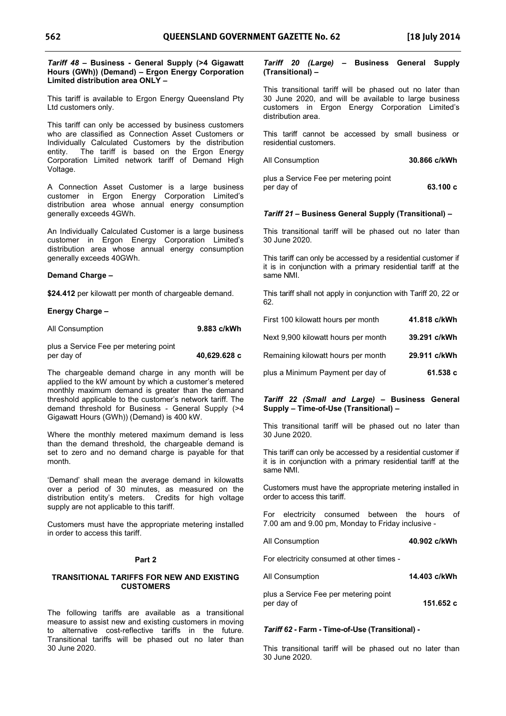#### *Tariff 48* **– Business - General Supply (>4 Gigawatt Hours (GWh)) (Demand) – Ergon Energy Corporation Limited distribution area ONLY –**

This tariff is available to Ergon Energy Queensland Pty Ltd customers only.

This tariff can only be accessed by business customers who are classified as Connection Asset Customers or Individually Calculated Customers by the distribution entity. The tariff is based on the Ergon Energy Corporation Limited network tariff of Demand High Voltage.

A Connection Asset Customer is a large business customer in Ergon Energy Corporation Limited's distribution area whose annual energy consumption generally exceeds 4GWh.

An Individually Calculated Customer is a large business customer in Ergon Energy Corporation Limited's distribution area whose annual energy consumption generally exceeds 40GWh.

#### **Demand Charge –**

**\$24.412** per kilowatt per month of chargeable demand.

#### **Energy Charge –**

| All Consumption | 9.883 c/kWh |
|-----------------|-------------|
|-----------------|-------------|

| plus a Service Fee per metering point |              |
|---------------------------------------|--------------|
| per day of                            | 40,629.628 c |

The chargeable demand charge in any month will be applied to the kW amount by which a customer's metered monthly maximum demand is greater than the demand threshold applicable to the customer's network tariff. The demand threshold for Business - General Supply (>4 Gigawatt Hours (GWh)) (Demand) is 400 kW.

Where the monthly metered maximum demand is less than the demand threshold, the chargeable demand is set to zero and no demand charge is payable for that month.

'Demand' shall mean the average demand in kilowatts over a period of 30 minutes, as measured on the distribution entity's meters. Credits for high voltage supply are not applicable to this tariff.

Customers must have the appropriate metering installed in order to access this tariff.

#### **Part 2**

#### **TRANSITIONAL TARIFFS FOR NEW AND EXISTING CUSTOMERS**

The following tariffs are available as a transitional measure to assist new and existing customers in moving to alternative cost-reflective tariffs in the future. Transitional tariffs will be phased out no later than 30 June 2020.

#### *Tariff 20 (Large)* **– Business General Supply (Transitional) –**

This transitional tariff will be phased out no later than 30 June 2020, and will be available to large business customers in Ergon Energy Corporation Limited's distribution area.

This tariff cannot be accessed by small business or residential customers.

| All Consumption | 30.866 c/kWh |
|-----------------|--------------|
|                 |              |

plus a Service Fee per metering point per day of **63.100 c**

### *Tariff 21* **– Business General Supply (Transitional) –**

This transitional tariff will be phased out no later than 30 June 2020.

This tariff can only be accessed by a residential customer if it is in conjunction with a primary residential tariff at the same NMI.

This tariff shall not apply in conjunction with Tariff 20, 22 or 62.

| First 100 kilowatt hours per month  | 41.818 c/kWh |
|-------------------------------------|--------------|
| Next 9,900 kilowatt hours per month | 39.291 c/kWh |
| Remaining kilowatt hours per month  | 29.911 c/kWh |
| plus a Minimum Payment per day of   | 61.538 c     |

#### *Tariff 22 (Small and Large)* **– Business General Supply – Time-of-Use (Transitional) –**

This transitional tariff will be phased out no later than 30 June 2020.

This tariff can only be accessed by a residential customer if it is in conjunction with a primary residential tariff at the same NMI.

Customers must have the appropriate metering installed in order to access this tariff.

For electricity consumed between the hours of 7.00 am and 9.00 pm, Monday to Friday inclusive -

All Consumption **40.902 c/kWh**

For electricity consumed at other times -

All Consumption **14.403 c/kWh** 

plus a Service Fee per metering point per day of **151.652 c** 

### *Tariff 62* **- Farm - Time-of-Use (Transitional) -**

This transitional tariff will be phased out no later than 30 June 2020.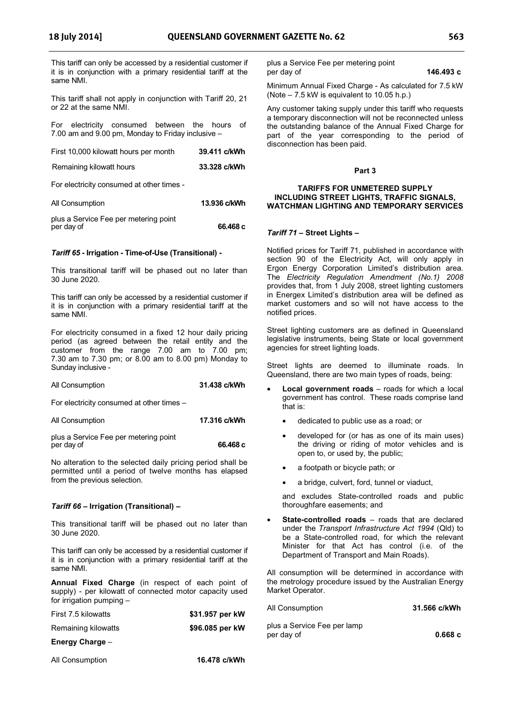This tariff can only be accessed by a residential customer if it is in conjunction with a primary residential tariff at the same NMI.

This tariff shall not apply in conjunction with Tariff 20, 21 or 22 at the same NMI.

For electricity consumed between the hours of 7.00 am and 9.00 pm, Monday to Friday inclusive –

| First 10,000 kilowatt hours per month     | 39.411 c/kWh |
|-------------------------------------------|--------------|
| Remaining kilowatt hours                  | 33.328 c/kWh |
| For electricity consumed at other times - |              |
| All Consumption                           | 13.936 c/kWh |
| istria a Camilaa Eaa wax maataniwa walist |              |

#### plus a Service Fee per metering point per day of **66.468 c**

#### *Tariff 65* **- Irrigation - Time-of-Use (Transitional) -**

This transitional tariff will be phased out no later than 30 June 2020.

This tariff can only be accessed by a residential customer if it is in conjunction with a primary residential tariff at the same NMI.

For electricity consumed in a fixed 12 hour daily pricing period (as agreed between the retail entity and the customer from the range 7.00 am to 7.00 pm; 7.30 am to 7.30 pm; or 8.00 am to 8.00 pm) Monday to Sunday inclusive -

All Consumption **31.438 c/kWh** 

For electricity consumed at other times –

All Consumption **17.316 c/kWh** 

plus a Service Fee per metering point per day of **66.468 c** 

No alteration to the selected daily pricing period shall be permitted until a period of twelve months has elapsed from the previous selection.

#### *Tariff 66* **– Irrigation (Transitional) –**

This transitional tariff will be phased out no later than 30 June 2020.

This tariff can only be accessed by a residential customer if it is in conjunction with a primary residential tariff at the same NMI.

**Annual Fixed Charge** (in respect of each point of supply) - per kilowatt of connected motor capacity used for irrigation pumping –

| First 7.5 kilowatts | \$31.957 per kW |  |
|---------------------|-----------------|--|
| Remaining kilowatts | \$96.085 per kW |  |
| Energy Charge -     |                 |  |
| $\cdots$            |                 |  |

All Consumption **16.478 c/kWh** 

plus a Service Fee per metering point per day of **146.493 c** 

Minimum Annual Fixed Charge - As calculated for 7.5 kW (Note – 7.5 kW is equivalent to 10.05 h.p.)

Any customer taking supply under this tariff who requests a temporary disconnection will not be reconnected unless the outstanding balance of the Annual Fixed Charge for part of the year corresponding to the period of disconnection has been paid.

#### **Part 3**

#### **TARIFFS FOR UNMETERED SUPPLY INCLUDING STREET LIGHTS, TRAFFIC SIGNALS, WATCHMAN LIGHTING AND TEMPORARY SERVICES**

#### *Tariff 71 –* **Street Lights –**

Notified prices for Tariff 71, published in accordance with section 90 of the Electricity Act, will only apply in Ergon Energy Corporation Limited's distribution area. The *Electricity Regulation Amendment (No.1) 2008* provides that, from 1 July 2008, street lighting customers in Energex Limited's distribution area will be defined as market customers and so will not have access to the notified prices.

Street lighting customers are as defined in Queensland legislative instruments, being State or local government agencies for street lighting loads.

Street lights are deemed to illuminate roads. In Queensland, there are two main types of roads, being:

- **Local government roads** roads for which a local government has control. These roads comprise land that is:
	- dedicated to public use as a road; or
	- developed for (or has as one of its main uses) the driving or riding of motor vehicles and is open to, or used by, the public;
	- a footpath or bicycle path; or
	- a bridge, culvert, ford, tunnel or viaduct,

and excludes State-controlled roads and public thoroughfare easements; and

**State-controlled roads** – roads that are declared under the *Transport Infrastructure Act 1994* (Qld) to be a State-controlled road, for which the relevant Minister for that Act has control (i.e. of the Department of Transport and Main Roads).

All consumption will be determined in accordance with the metrology procedure issued by the Australian Energy Market Operator.

| All Consumption                           | 31.566 c/kWh |
|-------------------------------------------|--------------|
| plus a Service Fee per lamp<br>per day of | 0.668c       |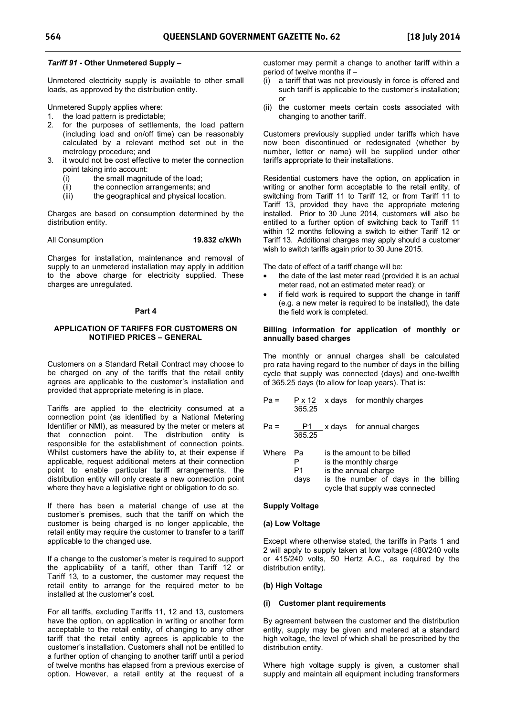#### *Tariff 91* **- Other Unmetered Supply –**

Unmetered electricity supply is available to other small loads, as approved by the distribution entity.

Unmetered Supply applies where:

- 1. the load pattern is predictable;
- 2. for the purposes of settlements, the load pattern (including load and on/off time) can be reasonably calculated by a relevant method set out in the metrology procedure; and
- 3. it would not be cost effective to meter the connection point taking into account:
	- (i) the small magnitude of the load;
	-
	- (ii) the connection arrangements; and<br>(iii) the geographical and physical loca the geographical and physical location.

Charges are based on consumption determined by the distribution entity.

#### All Consumption **19.832 c/kWh**

Charges for installation, maintenance and removal of supply to an unmetered installation may apply in addition to the above charge for electricity supplied. These charges are unregulated.

#### **Part 4**

#### **APPLICATION OF TARIFFS FOR CUSTOMERS ON NOTIFIED PRICES – GENERAL**

Customers on a Standard Retail Contract may choose to be charged on any of the tariffs that the retail entity agrees are applicable to the customer's installation and provided that appropriate metering is in place.

Tariffs are applied to the electricity consumed at a connection point (as identified by a National Metering Identifier or NMI), as measured by the meter or meters at that connection point. The distribution entity is responsible for the establishment of connection points. Whilst customers have the ability to, at their expense if applicable, request additional meters at their connection point to enable particular tariff arrangements, the distribution entity will only create a new connection point where they have a legislative right or obligation to do so.

If there has been a material change of use at the customer's premises, such that the tariff on which the customer is being charged is no longer applicable, the retail entity may require the customer to transfer to a tariff applicable to the changed use.

If a change to the customer's meter is required to support the applicability of a tariff, other than Tariff 12 or Tariff 13, to a customer, the customer may request the retail entity to arrange for the required meter to be installed at the customer's cost.

For all tariffs, excluding Tariffs 11, 12 and 13, customers have the option, on application in writing or another form acceptable to the retail entity, of changing to any other tariff that the retail entity agrees is applicable to the customer's installation. Customers shall not be entitled to a further option of changing to another tariff until a period of twelve months has elapsed from a previous exercise of option. However, a retail entity at the request of a customer may permit a change to another tariff within a period of twelve months if –

- (i) a tariff that was not previously in force is offered and such tariff is applicable to the customer's installation; or
- (ii) the customer meets certain costs associated with changing to another tariff.

Customers previously supplied under tariffs which have now been discontinued or redesignated (whether by number, letter or name) will be supplied under other tariffs appropriate to their installations.

Residential customers have the option, on application in writing or another form acceptable to the retail entity, of switching from Tariff 11 to Tariff 12, or from Tariff 11 to Tariff 13, provided they have the appropriate metering installed. Prior to 30 June 2014, customers will also be entitled to a further option of switching back to Tariff 11 within 12 months following a switch to either Tariff 12 or Tariff 13. Additional charges may apply should a customer wish to switch tariffs again prior to 30 June 2015.

The date of effect of a tariff change will be:

- the date of the last meter read (provided it is an actual meter read, not an estimated meter read); or
- if field work is required to support the change in tariff (e.g. a new meter is required to be installed), the date the field work is completed.

#### **Billing information for application of monthly or annually based charges**

The monthly or annual charges shall be calculated pro rata having regard to the number of days in the billing cycle that supply was connected (days) and one-twelfth of 365.25 days (to allow for leap years). That is:

|        | 365.25           |                                                                                                                                                        | $P \times 12$ x days for monthly charges |
|--------|------------------|--------------------------------------------------------------------------------------------------------------------------------------------------------|------------------------------------------|
| $Pa =$ | P1<br>365.25     |                                                                                                                                                        | x days for annual charges                |
| Where  | Pа<br>P1<br>days | is the amount to be billed<br>is the monthly charge<br>is the annual charge<br>is the number of days in the billing<br>cycle that supply was connected |                                          |

#### **Supply Voltage**

#### **(a) Low Voltage**

Except where otherwise stated, the tariffs in Parts 1 and 2 will apply to supply taken at low voltage (480/240 volts or 415/240 volts, 50 Hertz A.C., as required by the distribution entity).

#### **(b) High Voltage**

#### **(i) Customer plant requirements**

By agreement between the customer and the distribution entity, supply may be given and metered at a standard high voltage, the level of which shall be prescribed by the distribution entity.

Where high voltage supply is given, a customer shall supply and maintain all equipment including transformers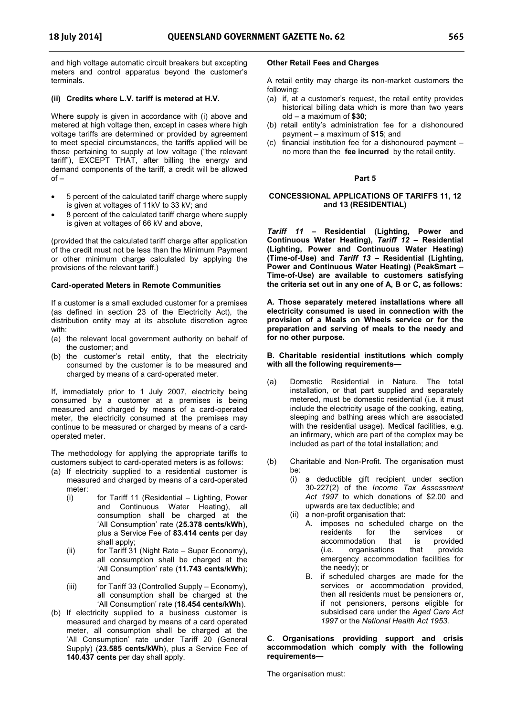and high voltage automatic circuit breakers but excepting meters and control apparatus beyond the customer's terminals.

#### **(ii) Credits where L.V. tariff is metered at H.V.**

Where supply is given in accordance with (i) above and metered at high voltage then, except in cases where high voltage tariffs are determined or provided by agreement to meet special circumstances, the tariffs applied will be those pertaining to supply at low voltage ("the relevant tariff"), EXCEPT THAT, after billing the energy and demand components of the tariff, a credit will be allowed of –

- 5 percent of the calculated tariff charge where supply is given at voltages of 11kV to 33 kV; and
- 8 percent of the calculated tariff charge where supply is given at voltages of 66 kV and above,

(provided that the calculated tariff charge after application of the credit must not be less than the Minimum Payment or other minimum charge calculated by applying the provisions of the relevant tariff.)

#### **Card-operated Meters in Remote Communities**

If a customer is a small excluded customer for a premises (as defined in section 23 of the Electricity Act), the distribution entity may at its absolute discretion agree with:

- (a) the relevant local government authority on behalf of the customer; and
- (b) the customer's retail entity, that the electricity consumed by the customer is to be measured and charged by means of a card-operated meter.

If, immediately prior to 1 July 2007, electricity being consumed by a customer at a premises is being measured and charged by means of a card-operated meter, the electricity consumed at the premises may continue to be measured or charged by means of a cardoperated meter.

The methodology for applying the appropriate tariffs to customers subject to card-operated meters is as follows:

- (a) If electricity supplied to a residential customer is measured and charged by means of a card-operated meter:
	- (i) for Tariff 11 (Residential Lighting, Power and Continuous Water Heating), all consumption shall be charged at the 'All Consumption' rate (**25.378 cents/kWh**), plus a Service Fee of **83.414 cents** per day shall apply;
	- (ii) for Tariff 31 (Night Rate Super Economy), all consumption shall be charged at the 'All Consumption' rate (**11.743 cents/kWh**); and
	- (iii) for Tariff 33 (Controlled Supply Economy), all consumption shall be charged at the 'All Consumption' rate (**18.454 cents/kWh**).
- (b) If electricity supplied to a business customer is measured and charged by means of a card operated meter, all consumption shall be charged at the 'All Consumption' rate under Tariff 20 (General Supply) (**23.585 cents/kWh**), plus a Service Fee of **140.437 cents** per day shall apply.

#### **Other Retail Fees and Charges**

A retail entity may charge its non-market customers the following:

- (a) if, at a customer's request, the retail entity provides historical billing data which is more than two years old – a maximum of **\$30**;
- (b) retail entity's administration fee for a dishonoured payment – a maximum of **\$15**; and
- (c) financial institution fee for a dishonoured payment no more than the **fee incurred** by the retail entity.

#### **Part 5**

#### **CONCESSIONAL APPLICATIONS OF TARIFFS 11, 12 and 13 (RESIDENTIAL)**

*Tariff 11* **– Residential (Lighting, Power and Continuous Water Heating),** *Tariff 12* **– Residential (Lighting, Power and Continuous Water Heating) (Time-of-Use) and** *Tariff 13* **– Residential (Lighting, Power and Continuous Water Heating) (PeakSmart – Time-of-Use) are available to customers satisfying the criteria set out in any one of A, B or C, as follows:** 

**A. Those separately metered installations where all electricity consumed is used in connection with the provision of a Meals on Wheels service or for the preparation and serving of meals to the needy and for no other purpose.** 

**B. Charitable residential institutions which comply with all the following requirements—** 

- (a) Domestic Residential in Nature. The total installation, or that part supplied and separately metered, must be domestic residential (i.e. it must include the electricity usage of the cooking, eating, sleeping and bathing areas which are associated with the residential usage). Medical facilities, e.g. an infirmary, which are part of the complex may be included as part of the total installation; and
- (b) Charitable and Non-Profit. The organisation must be:
	- (i) a deductible gift recipient under section 30-227(2) of the *Income Tax Assessment Act 1997* to which donations of \$2.00 and upwards are tax deductible; and
	- (ii) a non-profit organisation that:
		- A. imposes no scheduled charge on the residents for the services or accommodation that is provided<br>(i.e. organisations that provide  $(i.e.$  organisations that emergency accommodation facilities for the needy); or
		- B. if scheduled charges are made for the services or accommodation provided. then all residents must be pensioners or, if not pensioners, persons eligible for subsidised care under the *Aged Care Act 1997* or the *National Health Act 1953*.

**C**. **Organisations providing support and crisis accommodation which comply with the following requirements—** 

The organisation must: